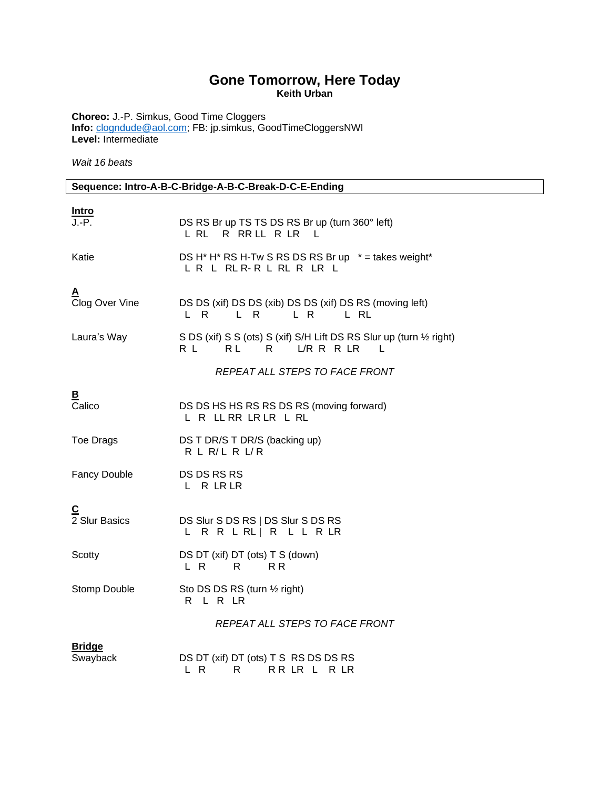## **Gone Tomorrow, Here Today Keith Urban**

**Choreo:** J.-P. Simkus, Good Time Cloggers **Info:** [clogndude@aol.com;](mailto:clogndude@aol.com) FB: jp.simkus, GoodTimeCloggersNWI **Level:** Intermediate

*Wait 16 beats*

## **Sequence: Intro-A-B-C-Bridge-A-B-C-Break-D-C-E-Ending**

| <u>Intro</u>              |                                                                                           |  |
|---------------------------|-------------------------------------------------------------------------------------------|--|
| J.-P.                     | DS RS Br up TS TS DS RS Br up (turn 360° left)<br>L RL R RRLL R LR<br>$\perp$             |  |
| Katie                     | DS H* H* RS H-Tw S RS DS RS Br up * = takes weight*<br>LR L RLR-R L RL R LR L             |  |
| A<br>Clog Over Vine       | DS DS (xif) DS DS (xib) DS DS (xif) DS RS (moving left)<br>L R L R<br>LR LRL              |  |
| Laura's Way               | S DS (xif) S S (ots) S (xif) S/H Lift DS RS Slur up (turn 1/2 right)<br>RL RL R L/RRRLR L |  |
|                           | REPEAT ALL STEPS TO FACE FRONT                                                            |  |
| B<br>Calico               | DS DS HS HS RS RS DS RS (moving forward)<br>L R LL RR LR LR L RL                          |  |
| Toe Drags                 | DS T DR/S T DR/S (backing up)<br>R L R/L R L/R                                            |  |
| <b>Fancy Double</b>       | DS DS RS RS<br>L R LR LR                                                                  |  |
| C<br>2 Slur Basics        | DS Slur S DS RS   DS Slur S DS RS<br>L R R L RL   R L L R LR                              |  |
| Scotty                    | DS DT (xif) DT (ots) T S (down)<br>L R<br>R<br>R R                                        |  |
| Stomp Double              | Sto DS DS RS (turn 1/2 right)<br>R L R LR                                                 |  |
|                           | REPEAT ALL STEPS TO FACE FRONT                                                            |  |
| <b>Bridge</b><br>Swayback | DS DT (xif) DT (ots) T S RS DS DS RS<br>L R<br>R<br>RR LR L<br>R LR                       |  |